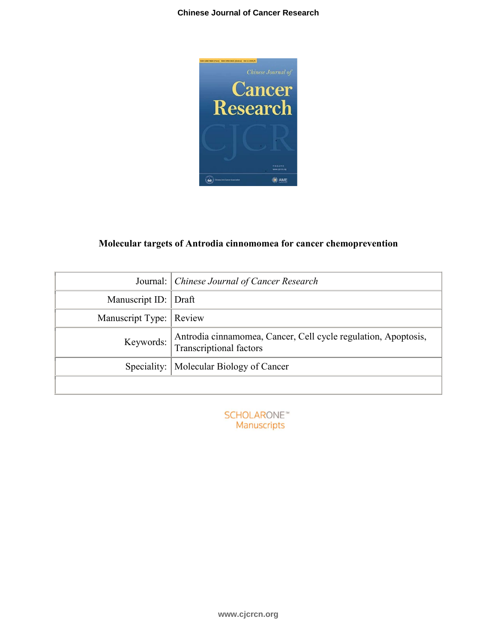

# **Molecular targets of Antrodia cinnomomea for cancer chemoprevention**

|                         | Journal: Chinese Journal of Cancer Research                                                      |
|-------------------------|--------------------------------------------------------------------------------------------------|
| Manuscript ID: Draft    |                                                                                                  |
| Manuscript Type: Review |                                                                                                  |
| Keywords:               | Antrodia cinnamomea, Cancer, Cell cycle regulation, Apoptosis,<br><b>Transcriptional factors</b> |
|                         | Speciality:   Molecular Biology of Cancer                                                        |
|                         |                                                                                                  |

**SCHOLARONE™** Manuscripts

**www.cjcrcn.org**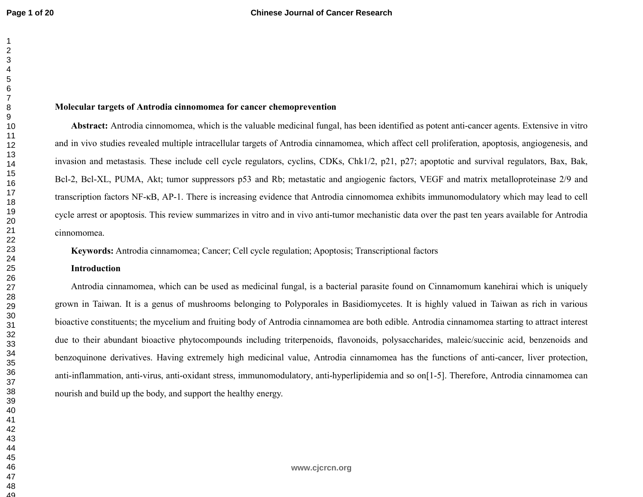49

#### **Molecular targets of Antrodia cinnomomea for cancer chemoprevention**

**Abstract:** Antrodia cinnomomea, which is the valuable medicinal fungal, has been identified as potent anti-cancer agents. Extensive in vitro and in vivo studies revealed multiple intracellular targets of Antrodia cinnamomea, which affect cell proliferation, apoptosis, angiogenesis, and invasion and metastasis. These include cell cycle regulators, cyclins, CDKs, Chk1/2, p21, p27; apoptotic and survival regulators, Bax, Bak, Bcl-2, Bcl-XL, PUMA, Akt; tumor suppressors p53 and Rb; metastatic and angiogenic factors, VEGF and matrix metalloproteinase 2/9 and transcription factors NF-κB, AP-1. There is increasing evidence that Antrodia cinnomomea exhibits immunomodulatory which may lead to cell cycle arrest or apoptosis. This review summarizes in vitro and in vivo anti-tumor mechanistic data over the past ten years available for Antrodia cinnomomea.

**Keywords:** Antrodia cinnamomea; Cancer; Cell cycle regulation; Apoptosis; Transcriptional factors

## **Introduction**

Antrodia cinnamomea, which can be used as medicinal fungal, is a bacterial parasite found on Cinnamomum kanehirai which is uniquely grown in Taiwan. It is a genus of mushrooms belonging to Polyporales in Basidiomycetes. It is highly valued in Taiwan as rich in various bioactive constituents; the mycelium and fruiting body of Antrodia cinnamomea are both edible. Antrodia cinnamomea starting to attract interest due to their abundant bioactive phytocompounds including triterpenoids, flavonoids, polysaccharides, maleic/succinic acid, benzenoids and benzoquinone derivatives. Having extremely high medicinal value, Antrodia cinnamomea has the functions of anti-cancer, liver protection, anti-inflammation, anti-virus, anti-oxidant stress, immunomodulatory, anti-hyperlipidemia and so on[1-5]. Therefore, Antrodia cinnamomea can nourish and build up the body, and support the healthy energy.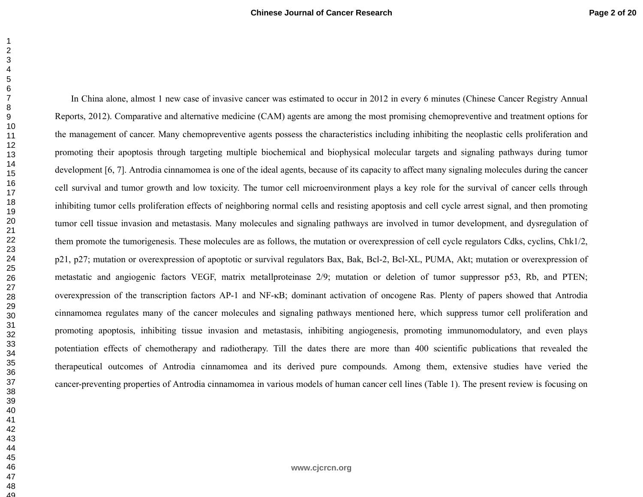In China alone, almost 1 new case of invasive cancer was estimated to occur in 2012 in every 6 minutes (Chinese Cancer Registry Annual Reports, 2012). Comparative and alternative medicine (CAM) agents are among the most promising chemopreventive and treatment options for the management of cancer. Many chemopreventive agents possess the characteristics including inhibiting the neoplastic cells proliferation and promoting their apoptosis through targeting multiple biochemical and biophysical molecular targets and signaling pathways during tumor development [6, 7]. Antrodia cinnamomea is one of the ideal agents, because of its capacity to affect many signaling molecules during the cancer cell survival and tumor growth and low toxicity. The tumor cell microenvironment plays a key role for the survival of cancer cells through inhibiting tumor cells proliferation effects of neighboring normal cells and resisting apoptosis and cell cycle arrest signal, and then promoting tumor cell tissue invasion and metastasis. Many molecules and signaling pathways are involved in tumor development, and dysregulation of them promote the tumorigenesis. These molecules are as follows, the mutation or overexpression of cell cycle regulators Cdks, cyclins, Chk1/2, p21, p27; mutation or overexpression of apoptotic or survival regulators Bax, Bak, Bcl-2, Bcl-XL, PUMA, Akt; mutation or overexpression of metastatic and angiogenic factors VEGF, matrix metallproteinase 2/9; mutation or deletion of tumor suppressor p53, Rb, and PTEN; overexpression of the transcription factors AP-1 and NF-κB; dominant activation of oncogene Ras. Plenty of papers showed that Antrodia cinnamomea regulates many of the cancer molecules and signaling pathways mentioned here, which suppress tumor cell proliferation and promoting apoptosis, inhibiting tissue invasion and metastasis, inhibiting angiogenesis, promoting immunomodulatory, and even plays potentiation effects of chemotherapy and radiotherapy. Till the dates there are more than 400 scientific publications that revealed the therapeutical outcomes of Antrodia cinnamomea and its derived pure compounds. Among them, extensive studies have veried the cancer-preventing properties of Antrodia cinnamomea in various models of human cancer cell lines (Table 1). The present review is focusing on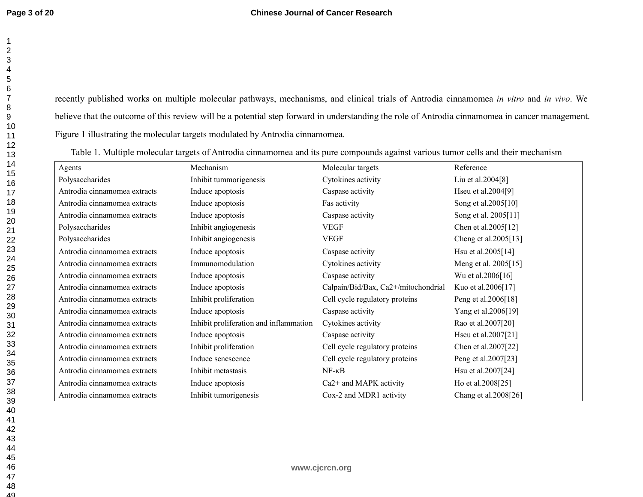recently published works on multiple molecular pathways, mechanisms, and clinical trials of Antrodia cinnamomea *in vitro* and *in vivo*. We believe that the outcome of this review will be a potential step forward in understanding the role of Antrodia cinnamomea in cancer management. Figure 1 illustrating the molecular targets modulated by Antrodia cinnamomea.

Table 1. Multiple molecular targets of Antrodia cinnamomea and its pure compounds against various tumor cells and their mechanism

| Agents                       | Mechanism                              | Molecular targets                   | Reference            |
|------------------------------|----------------------------------------|-------------------------------------|----------------------|
| Polysaccharides              | Inhibit tummorigenesis                 | Cytokines activity                  | Liu et al.2004[8]    |
| Antrodia cinnamomea extracts | Induce apoptosis                       | Caspase activity                    | Hseu et al.2004[9]   |
| Antrodia cinnamomea extracts | Induce apoptosis                       | Fas activity                        | Song et al.2005[10]  |
| Antrodia cinnamomea extracts | Induce apoptosis                       | Caspase activity                    | Song et al. 2005[11] |
| Polysaccharides              | Inhibit angiogenesis                   | <b>VEGF</b>                         | Chen et al.2005[12]  |
| Polysaccharides              | Inhibit angiogenesis                   | <b>VEGF</b>                         | Cheng et al.2005[13] |
| Antrodia cinnamomea extracts | Induce apoptosis                       | Caspase activity                    | Hsu et al.2005[14]   |
| Antrodia cinnamomea extracts | Immunomodulation                       | Cytokines activity                  | Meng et al. 2005[15] |
| Antrodia cinnamomea extracts | Induce apoptosis                       | Caspase activity                    | Wu et al.2006[16]    |
| Antrodia cinnamomea extracts | Induce apoptosis                       | Calpain/Bid/Bax, Ca2+/mitochondrial | Kuo et al.2006[17]   |
| Antrodia cinnamomea extracts | Inhibit proliferation                  | Cell cycle regulatory proteins      | Peng et al.2006[18]  |
| Antrodia cinnamomea extracts | Induce apoptosis                       | Caspase activity                    | Yang et al.2006[19]  |
| Antrodia cinnamomea extracts | Inhibit proliferation and inflammation | Cytokines activity                  | Rao et al.2007[20]   |
| Antrodia cinnamomea extracts | Induce apoptosis                       | Caspase activity                    | Hseu et al.2007[21]  |
| Antrodia cinnamomea extracts | Inhibit proliferation                  | Cell cycle regulatory proteins      | Chen et al.2007[22]  |
| Antrodia cinnamomea extracts | Induce senescence                      | Cell cycle regulatory proteins      | Peng et al.2007[23]  |
| Antrodia cinnamomea extracts | Inhibit metastasis                     | $NF - \kappa B$                     | Hsu et al.2007[24]   |
| Antrodia cinnamomea extracts | Induce apoptosis                       | Ca <sub>2</sub> + and MAPK activity | Ho et al.2008[25]    |
| Antrodia cinnamomea extracts | Inhibit tumorigenesis                  | Cox-2 and MDR1 activity             | Chang et al.2008[26] |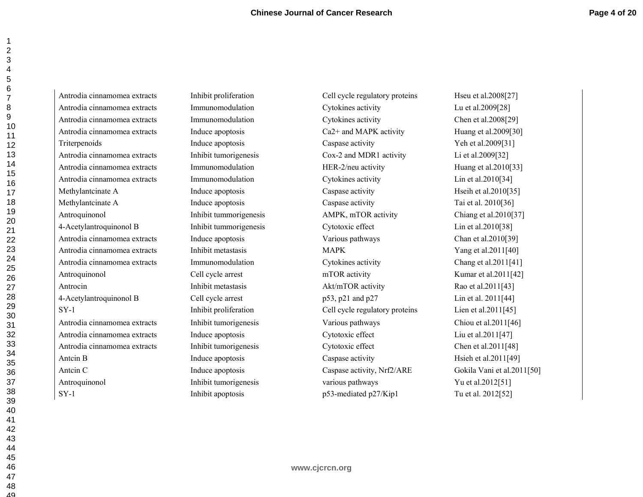Antrodia cinnamomea extracts Inhibit proliferation Cell cycle regulatory proteins Hseu et al.2008[27] Antrodia cinnamomea extracts Immunomodulation Cytokines activity Lu et al.2009[28] Antrodia cinnamomea extracts Immunomodulation Cytokines activity Chen et al.2008[29] Antrodia cinnamomea extracts Induce apoptosis Ca2+ and MAPK activity Huang et al.2009[30] Triterpenoids a Theorem Induce apoptosis Caspase activity The Set of the et al.2009[31] Antrodia cinnamomea extracts Inhibit tumorigenesis Cox-2 and MDR1 activity Li et al.2009[32] Antrodia cinnamomea extracts Immunomodulation HER-2/neu activity Huang et al.2010[33] Antrodia cinnamomea extracts Immunomodulation Cytokines activity Lin et al.2010[34] Methylantcinate A Induce apoptosis Caspase activity Hseih et al.2010[35] Methylantcinate A Induce apoptosis Caspase activity Tai et al. 2010[36] Antroquinonol Inhibit tummorigenesis AMPK, mTOR activity Chiang et al.2010[37] 4-Acetylantroquinonol B Inhibit tummorigenesis Cytotoxic effect Lin et al.2010[38] Antrodia cinnamomea extracts Induce apoptosis Various pathways Chan et al.2010[39] Antrodia cinnamomea extracts Inhibit metastasis MAPK Yang et al.2011[40] Antrodia cinnamomea extracts Immunomodulation Cytokines activity Chang et al.2011[41] Antroquinonol Cell cycle arrest mTOR activity Kumar et al.2011[42] Antrocin Inhibit metastasis Akt/mTOR activity Rao et al.2011[43] 4-Acetylantroquinonol B Cell cycle arrest p53, p21 and p27 Lin et al. 2011[44] SY-1 Inhibit proliferation Cell cycle regulatory proteins Lien et al.2011[45] Antrodia cinnamomea extracts Inhibit tumorigenesis Various pathways Chiou et al.2011[46] Antrodia cinnamomea extracts Induce apoptosis Cytotoxic effect Liu et al.2011[47] Antrodia cinnamomea extracts Inhibit tumorigenesis Cytotoxic effect Chen et al.2011[48] Antcin B Induce apoptosis Caspase activity Hsieh et al.2011[49] Antcin C Induce apoptosis Caspase activity, Nrf2/ARE Gokila Vani et al.2011[50] Antroquinonol Inhibit tumorigenesis various pathways  $Yu$  et al.2012[51] SY-1 Inhibit apoptosis p53-mediated p27/Kip1 Tu et al. 2012[52]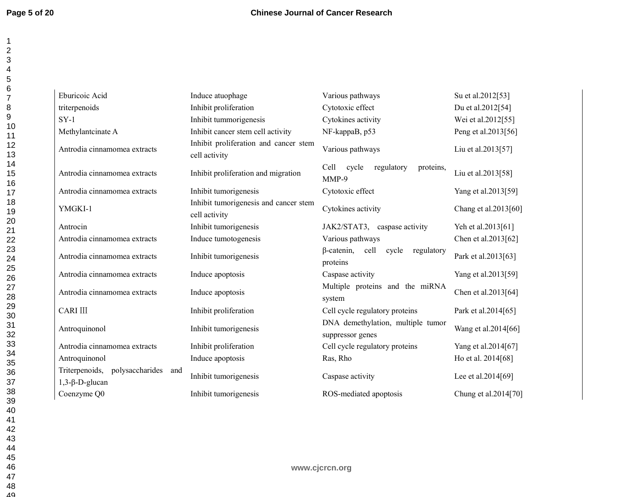| Eburicoic Acid                                                    | Induce atuophage                                       | Various pathways                                             | Su et al.2012[53]    |
|-------------------------------------------------------------------|--------------------------------------------------------|--------------------------------------------------------------|----------------------|
| triterpenoids                                                     | Inhibit proliferation                                  | Cytotoxic effect                                             | Du et al.2012[54]    |
| $SY-1$                                                            | Inhibit tummorigenesis                                 | Cytokines activity                                           | Wei et al.2012[55]   |
| Methylantcinate A                                                 | Inhibit cancer stem cell activity                      | NF-kappaB, p53                                               | Peng et al.2013[56]  |
| Antrodia cinnamomea extracts                                      | Inhibit proliferation and cancer stem<br>cell activity | Various pathways                                             | Liu et al.2013[57]   |
| Antrodia cinnamomea extracts                                      | Inhibit proliferation and migration                    | Cell<br>cycle<br>regulatory<br>proteins,<br>MMP-9            | Liu et al.2013[58]   |
| Antrodia cinnamomea extracts                                      | Inhibit tumorigenesis                                  | Cytotoxic effect                                             | Yang et al.2013[59]  |
| YMGKI-1                                                           | Inhibit tumorigenesis and cancer stem<br>cell activity | Cytokines activity                                           | Chang et al.2013[60] |
| Antrocin                                                          | Inhibit tumorigenesis                                  | JAK2/STAT3, caspase activity                                 | Yeh et al.2013[61]   |
| Antrodia cinnamomea extracts                                      | Induce tumotogenesis                                   | Various pathways                                             | Chen et al.2013[62]  |
| Antrodia cinnamomea extracts                                      | Inhibit tumorigenesis                                  | $\beta$ -catenin,<br>cell<br>cycle<br>regulatory<br>proteins | Park et al.2013[63]  |
| Antrodia cinnamomea extracts                                      | Induce apoptosis                                       | Caspase activity                                             | Yang et al.2013[59]  |
| Antrodia cinnamomea extracts                                      | Induce apoptosis                                       | Multiple proteins and the miRNA<br>system                    | Chen et al.2013[64]  |
| <b>CARI III</b>                                                   | Inhibit proliferation                                  | Cell cycle regulatory proteins                               | Park et al.2014[65]  |
| Antroquinonol                                                     | Inhibit tumorigenesis                                  | DNA demethylation, multiple tumor<br>suppressor genes        | Wang et al.2014[66]  |
| Antrodia cinnamomea extracts                                      | Inhibit proliferation                                  | Cell cycle regulatory proteins                               | Yang et al.2014[67]  |
| Antroquinonol                                                     | Induce apoptosis                                       | Ras, Rho                                                     | Ho et al. 2014[68]   |
| Triterpenoids,<br>polysaccharides<br>and<br>$1,3-\beta-D$ -glucan | Inhibit tumorigenesis                                  | Caspase activity                                             | Lee et al.2014[69]   |
| Coenzyme Q0                                                       | Inhibit tumorigenesis                                  | ROS-mediated apoptosis                                       | Chung et al.2014[70] |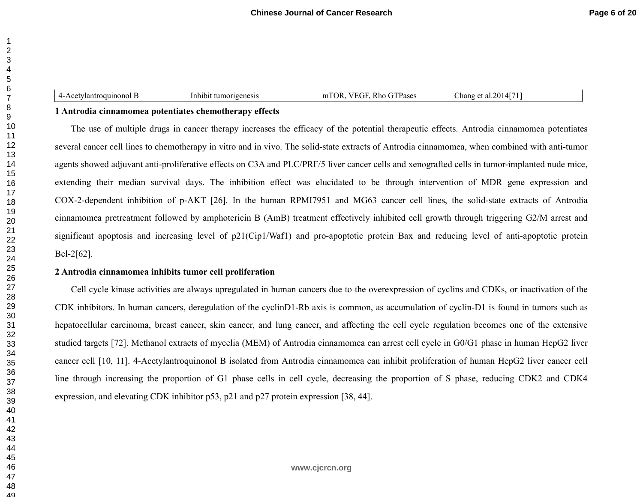4-Acetylantroquinonol B Inhibit tumorigenesis mTOR, VEGF, Rho GTPases Chang et al.2014[71]

# **1 Antrodia cinnamomea potentiates chemotherapy effects**

The use of multiple drugs in cancer therapy increases the efficacy of the potential therapeutic effects. Antrodia cinnamomea potentiates several cancer cell lines to chemotherapy in vitro and in vivo. The solid-state extracts of Antrodia cinnamomea, when combined with anti-tumor agents showed adjuvant anti-proliferative effects on C3A and PLC/PRF/5 liver cancer cells and xenografted cells in tumor-implanted nude mice, extending their median survival days. The inhibition effect was elucidated to be through intervention of MDR gene expression and COX-2-dependent inhibition of p-AKT [26]. In the human RPMI7951 and MG63 cancer cell lines, the solid-state extracts of Antrodia cinnamomea pretreatment followed by amphotericin B (AmB) treatment effectively inhibited cell growth through triggering G2/M arrest and significant apoptosis and increasing level of p21(Cip1/Waf1) and pro-apoptotic protein Bax and reducing level of anti-apoptotic protein Bcl-2[62].

# **2 Antrodia cinnamomea inhibits tumor cell proliferation**

Cell cycle kinase activities are always upregulated in human cancers due to the overexpression of cyclins and CDKs, or inactivation of the CDK inhibitors. In human cancers, deregulation of the cyclinD1-Rb axis is common, as accumulation of cyclin-D1 is found in tumors such as hepatocellular carcinoma, breast cancer, skin cancer, and lung cancer, and affecting the cell cycle regulation becomes one of the extensive studied targets [72]. Methanol extracts of mycelia (MEM) of Antrodia cinnamomea can arrest cell cycle in G0/G1 phase in human HepG2 liver cancer cell [10, 11]. 4-Acetylantroquinonol B isolated from Antrodia cinnamomea can inhibit proliferation of human HepG2 liver cancer cell line through increasing the proportion of G1 phase cells in cell cycle, decreasing the proportion of S phase, reducing CDK2 and CDK4 expression, and elevating CDK inhibitor p53, p21 and p27 protein expression [38, 44].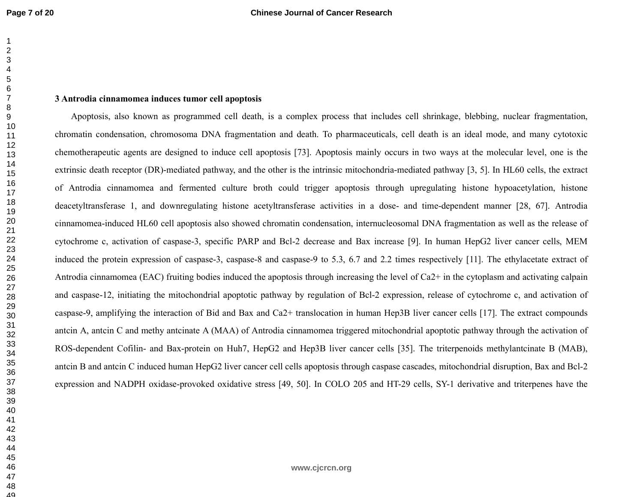4849

#### **3 Antrodia cinnamomea induces tumor cell apoptosis**

Apoptosis, also known as programmed cell death, is a complex process that includes cell shrinkage, blebbing, nuclear fragmentation, chromatin condensation, chromosoma DNA fragmentation and death. To pharmaceuticals, cell death is an ideal mode, and many cytotoxic chemotherapeutic agents are designed to induce cell apoptosis [73]. Apoptosis mainly occurs in two ways at the molecular level, one is the extrinsic death receptor (DR)-mediated pathway, and the other is the intrinsic mitochondria-mediated pathway [3, 5]. In HL60 cells, the extract of Antrodia cinnamomea and fermented culture broth could trigger apoptosis through upregulating histone hypoacetylation, histone deacetyltransferase 1, and downregulating histone acetyltransferase activities in a dose- and time-dependent manner [28, 67]. Antrodia cinnamomea-induced HL60 cell apoptosis also showed chromatin condensation, internucleosomal DNA fragmentation as well as the release of cytochrome c, activation of caspase-3, specific PARP and Bcl-2 decrease and Bax increase [9]. In human HepG2 liver cancer cells, MEM induced the protein expression of caspase-3, caspase-8 and caspase-9 to 5.3, 6.7 and 2.2 times respectively [11]. The ethylacetate extract of Antrodia cinnamomea (EAC) fruiting bodies induced the apoptosis through increasing the level of Ca2+ in the cytoplasm and activating calpain and caspase-12, initiating the mitochondrial apoptotic pathway by regulation of Bcl-2 expression, release of cytochrome c, and activation of caspase-9, amplifying the interaction of Bid and Bax and Ca2+ translocation in human Hep3B liver cancer cells [17]. The extract compounds antcin A, antcin C and methy antcinate A (MAA) of Antrodia cinnamomea triggered mitochondrial apoptotic pathway through the activation of ROS-dependent Cofilin- and Bax-protein on Huh7, HepG2 and Hep3B liver cancer cells [35]. The triterpenoids methylantcinate B (MAB), antcin B and antcin C induced human HepG2 liver cancer cell cells apoptosis through caspase cascades, mitochondrial disruption, Bax and Bcl-2 expression and NADPH oxidase-provoked oxidative stress [49, 50]. In COLO 205 and HT-29 cells, SY-1 derivative and triterpenes have the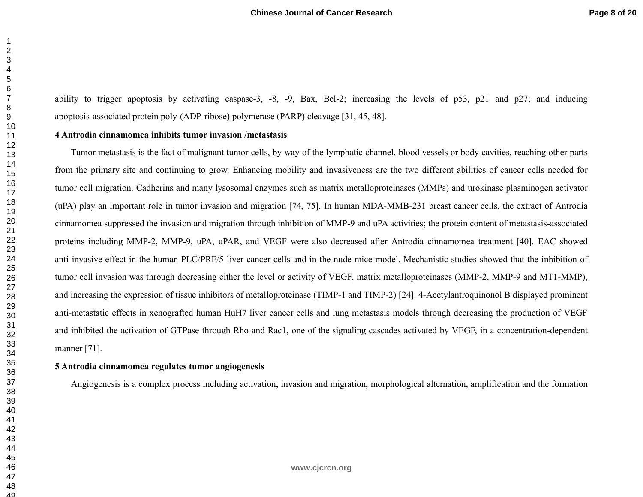ability to trigger apoptosis by activating caspase-3, -8, -9, Bax, Bcl-2; increasing the levels of p53, p21 and p27; and inducing apoptosis-associated protein poly-(ADP-ribose) polymerase (PARP) cleavage [31, 45, 48].

#### **4 Antrodia cinnamomea inhibits tumor invasion /metastasis**

Tumor metastasis is the fact of malignant tumor cells, by way of the lymphatic channel, blood vessels or body cavities, reaching other parts from the primary site and continuing to grow. Enhancing mobility and invasiveness are the two different abilities of cancer cells needed for tumor cell migration. Cadherins and many lysosomal enzymes such as matrix metalloproteinases (MMPs) and urokinase plasminogen activator (uPA) play an important role in tumor invasion and migration [74, 75]. In human MDA-MMB-231 breast cancer cells, the extract of Antrodia cinnamomea suppressed the invasion and migration through inhibition of MMP-9 and uPA activities; the protein content of metastasis-associated proteins including MMP-2, MMP-9, uPA, uPAR, and VEGF were also decreased after Antrodia cinnamomea treatment [40]. EAC showed anti-invasive effect in the human PLC/PRF/5 liver cancer cells and in the nude mice model. Mechanistic studies showed that the inhibition of tumor cell invasion was through decreasing either the level or activity of VEGF, matrix metalloproteinases (MMP-2, MMP-9 and MT1-MMP), and increasing the expression of tissue inhibitors of metalloproteinase (TIMP-1 and TIMP-2) [24]. 4-Acetylantroquinonol B displayed prominent anti-metastatic effects in xenografted human HuH7 liver cancer cells and lung metastasis models through decreasing the production of VEGF and inhibited the activation of GTPase through Rho and Rac1, one of the signaling cascades activated by VEGF, in a concentration-dependent manner [71].

#### **5 Antrodia cinnamomea regulates tumor angiogenesis**

Angiogenesis is a complex process including activation, invasion and migration, morphological alternation, amplification and the formation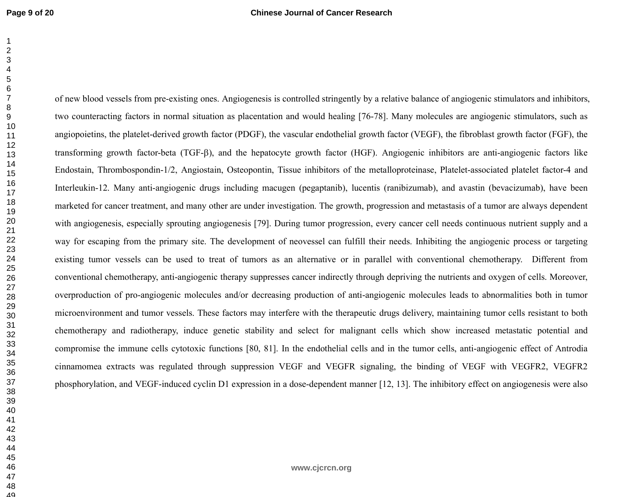49

of new blood vessels from pre-existing ones. Angiogenesis is controlled stringently by a relative balance of angiogenic stimulators and inhibitors, two counteracting factors in normal situation as placentation and would healing [76-78]. Many molecules are angiogenic stimulators, such as angiopoietins, the platelet-derived growth factor (PDGF), the vascular endothelial growth factor (VEGF), the fibroblast growth factor (FGF), the transforming growth factor-beta (TGF-β), and the hepatocyte growth factor (HGF). Angiogenic inhibitors are anti-angiogenic factors like Endostain, Thrombospondin-1/2, Angiostain, Osteopontin, Tissue inhibitors of the metalloproteinase, Platelet-associated platelet factor-4 and Interleukin-12. Many anti-angiogenic drugs including macugen (pegaptanib), lucentis (ranibizumab), and avastin (bevacizumab), have been marketed for cancer treatment, and many other are under investigation. The growth, progression and metastasis of a tumor are always dependent with angiogenesis, especially sprouting angiogenesis [79]. During tumor progression, every cancer cell needs continuous nutrient supply and a way for escaping from the primary site. The development of neovessel can fulfill their needs. Inhibiting the angiogenic process or targeting existing tumor vessels can be used to treat of tumors as an alternative or in parallel with conventional chemotherapy. Different from conventional chemotherapy, anti-angiogenic therapy suppresses cancer indirectly through depriving the nutrients and oxygen of cells. Moreover, overproduction of pro-angiogenic molecules and/or decreasing production of anti-angiogenic molecules leads to abnormalities both in tumor microenvironment and tumor vessels. These factors may interfere with the therapeutic drugs delivery, maintaining tumor cells resistant to both chemotherapy and radiotherapy, induce genetic stability and select for malignant cells which show increased metastatic potential and compromise the immune cells cytotoxic functions [80, 81]. In the endothelial cells and in the tumor cells, anti-angiogenic effect of Antrodia cinnamomea extracts was regulated through suppression VEGF and VEGFR signaling, the binding of VEGF with VEGFR2, VEGFR2 phosphorylation, and VEGF-induced cyclin D1 expression in a dose-dependent manner [12, 13]. The inhibitory effect on angiogenesis were also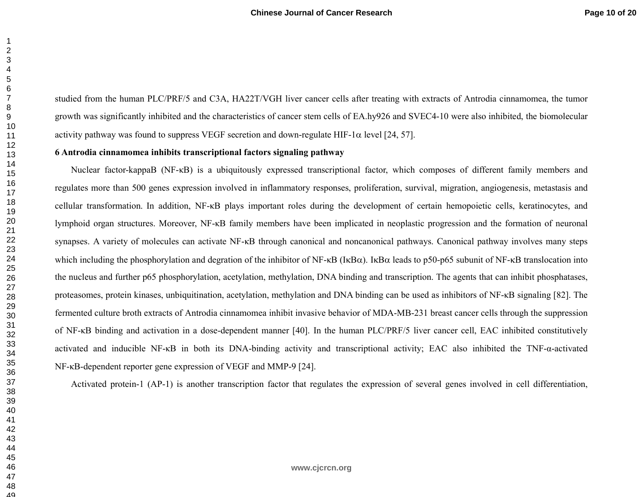studied from the human PLC/PRF/5 and C3A, HA22T/VGH liver cancer cells after treating with extracts of Antrodia cinnamomea, the tumor growth was significantly inhibited and the characteristics of cancer stem cells of EA.hy926 and SVEC4-10 were also inhibited, the biomolecular activity pathway was found to suppress VEGF secretion and down-regulate HIF-1 $\alpha$  level [24, 57].

#### **6 Antrodia cinnamomea inhibits transcriptional factors signaling pathway**

Nuclear factor-kappaB (NF-κB) is a ubiquitously expressed transcriptional factor, which composes of different family members and regulates more than 500 genes expression involved in inflammatory responses, proliferation, survival, migration, angiogenesis, metastasis and cellular transformation. In addition, NF-κB plays important roles during the development of certain hemopoietic cells, keratinocytes, and lymphoid organ structures. Moreover, NF-κB family members have been implicated in neoplastic progression and the formation of neuronal synapses. A variety of molecules can activate NF-κB through canonical and noncanonical pathways. Canonical pathway involves many steps which including the phosphorylation and degration of the inhibitor of NF-κB (IκBα). IκBα leads to p50-p65 subunit of NF-κB translocation into the nucleus and further p65 phosphorylation, acetylation, methylation, DNA binding and transcription. The agents that can inhibit phosphatases, proteasomes, protein kinases, unbiquitination, acetylation, methylation and DNA binding can be used as inhibitors of NF-κB signaling [82]. The fermented culture broth extracts of Antrodia cinnamomea inhibit invasive behavior of MDA-MB-231 breast cancer cells through the suppression of NF-κB binding and activation in a dose-dependent manner [40]. In the human PLC/PRF/5 liver cancer cell, EAC inhibited constitutively activated and inducible NF-κB in both its DNA-binding activity and transcriptional activity; EAC also inhibited the TNF-α-activated NF-κB-dependent reporter gene expression of VEGF and MMP-9 [24].

Activated protein-1 (AP-1) is another transcription factor that regulates the expression of several genes involved in cell differentiation,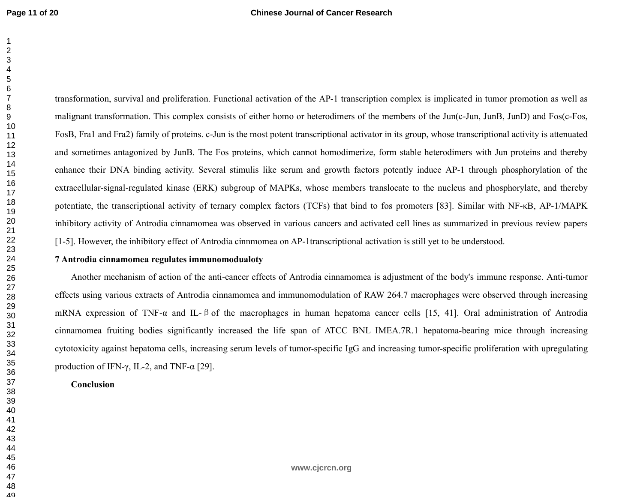transformation, survival and proliferation. Functional activation of the AP-1 transcription complex is implicated in tumor promotion as well as malignant transformation. This complex consists of either homo or heterodimers of the members of the Jun(c-Jun, JunB, JunD) and Fos(c-Fos, FosB, Fra1 and Fra2) family of proteins. c-Jun is the most potent transcriptional activator in its group, whose transcriptional activity is attenuated and sometimes antagonized by JunB. The Fos proteins, which cannot homodimerize, form stable heterodimers with Jun proteins and thereby enhance their DNA binding activity. Several stimulis like serum and growth factors potently induce AP-1 through phosphorylation of the extracellular-signal-regulated kinase (ERK) subgroup of MAPKs, whose members translocate to the nucleus and phosphorylate, and thereby potentiate, the transcriptional activity of ternary complex factors (TCFs) that bind to fos promoters [83]. Similar with NF-κB, AP-1/MAPK inhibitory activity of Antrodia cinnamomea was observed in various cancers and activated cell lines as summarized in previous review papers [1-5]. However, the inhibitory effect of Antrodia cinnmomea on AP-1transcriptional activation is still yet to be understood.

#### **7 Antrodia cinnamomea regulates immunomodualoty**

Another mechanism of action of the anti-cancer effects of Antrodia cinnamomea is adjustment of the body's immune response. Anti-tumor effects using various extracts of Antrodia cinnamomea and immunomodulation of RAW 264.7 macrophages were observed through increasing mRNA expression of TNF-α and IL-βof the macrophages in human hepatoma cancer cells [15, 41]. Oral administration of Antrodia cinnamomea fruiting bodies significantly increased the life span of ATCC BNL IMEA.7R.1 hepatoma-bearing mice through increasing cytotoxicity against hepatoma cells, increasing serum levels of tumor-specific IgG and increasing tumor-specific proliferation with upregulating production of IFN-γ, IL-2, and TNF- $α$  [29].

#### **Conclusion**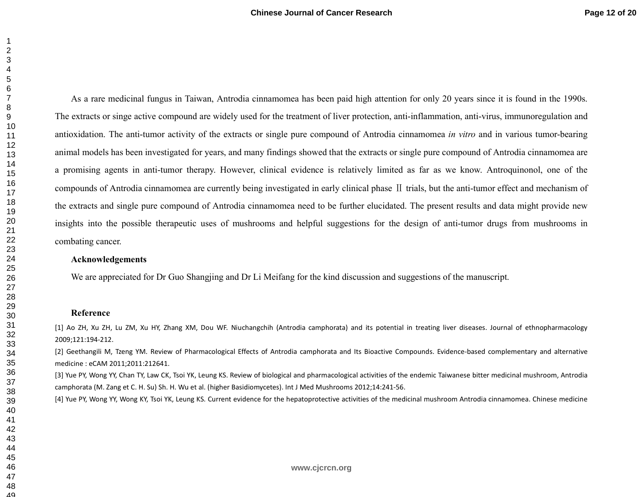49

1

As a rare medicinal fungus in Taiwan, Antrodia cinnamomea has been paid high attention for only 20 years since it is found in the 1990s. The extracts or singe active compound are widely used for the treatment of liver protection, anti-inflammation, anti-virus, immunoregulation and antioxidation. The anti-tumor activity of the extracts or single pure compound of Antrodia cinnamomea *in vitro* and in various tumor-bearing animal models has been investigated for years, and many findings showed that the extracts or single pure compound of Antrodia cinnamomea are a promising agents in anti-tumor therapy. However, clinical evidence is relatively limited as far as we know. Antroquinonol, one of the compounds of Antrodia cinnamomea are currently being investigated in early clinical phase Ⅱ trials, but the anti-tumor effect and mechanism ofthe extracts and single pure compound of Antrodia cinnamomea need to be further elucidated. The present results and data might provide new insights into the possible therapeutic uses of mushrooms and helpful suggestions for the design of anti-tumor drugs from mushrooms in combating cancer.

#### **Acknowledgements**

We are appreciated for Dr Guo Shangjing and Dr Li Meifang for the kind discussion and suggestions of the manuscript.

#### **Reference**

[1] Ao ZH, Xu ZH, Lu ZM, Xu HY, Zhang XM, Dou WF. Niuchangchih (Antrodia camphorata) and its potential in treating liver diseases. Journal of ethnopharmacology 2009;121:194-212.

[2] Geethangili M, Tzeng YM. Review of Pharmacological Effects of Antrodia camphorata and Its Bioactive Compounds. Evidence-based complementary and alternative medicine : eCAM 2011;2011:212641.

[3] Yue PY, Wong YY, Chan TY, Law CK, Tsoi YK, Leung KS. Review of biological and pharmacological activities of the endemic Taiwanese bitter medicinal mushroom, Antrodia camphorata (M. Zang et C. H. Su) Sh. H. Wu et al. (higher Basidiomycetes). Int J Med Mushrooms 2012;14:241-56.

[4] Yue PY, Wong YY, Wong KY, Tsoi YK, Leung KS. Current evidence for the hepatoprotective activities of the medicinal mushroom Antrodia cinnamomea. Chinese medicine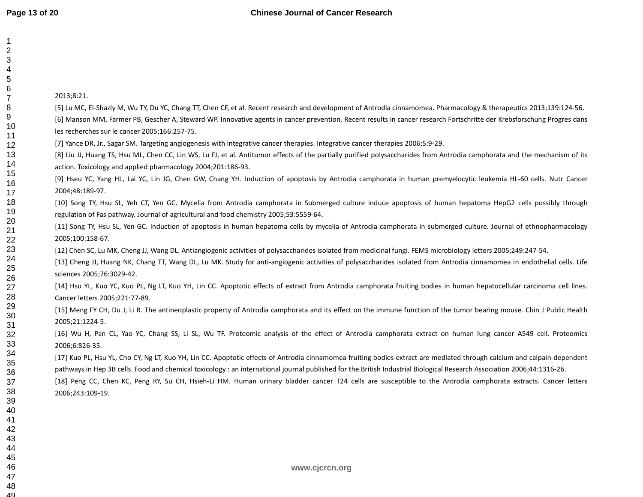| $\overline{c}$<br>3 |                                                                                                                                                                                                                                                       |
|---------------------|-------------------------------------------------------------------------------------------------------------------------------------------------------------------------------------------------------------------------------------------------------|
| 4                   |                                                                                                                                                                                                                                                       |
| 5<br>6              |                                                                                                                                                                                                                                                       |
| $\overline{7}$      | 2013;8:21.                                                                                                                                                                                                                                            |
| 8                   | [5] Lu MC, El-Shazly M, Wu TY, Du YC, Chang TT, Chen CF, et al. Recent research and development of Antrodia cinnamomea. Pharmacology & therapeutics 2013;139:124-56.                                                                                  |
| 9<br>10<br>11       | [6] Manson MM, Farmer PB, Gescher A, Steward WP. Innovative agents in cancer prevention. Recent results in cancer research Fortschritte der Krebsforschung Progres dans<br>les recherches sur le cancer 2005;166:257-75.                              |
| 12                  | [7] Yance DR, Jr., Sagar SM. Targeting angiogenesis with integrative cancer therapies. Integrative cancer therapies 2006;5:9-29.                                                                                                                      |
| 13<br>14            | [8] Liu JJ, Huang TS, Hsu ML, Chen CC, Lin WS, Lu FJ, et al. Antitumor effects of the partially purified polysaccharides from Antrodia camphorata and the mechanism of its<br>action. Toxicology and applied pharmacology 2004;201:186-93.            |
| 15<br>16<br>17      | [9] Hseu YC, Yang HL, Lai YC, Lin JG, Chen GW, Chang YH. Induction of apoptosis by Antrodia camphorata in human premyelocytic leukemia HL-60 cells. Nutr Cancer<br>2004;48:189-97.                                                                    |
| 18<br>19            | [10] Song TY, Hsu SL, Yeh CT, Yen GC. Mycelia from Antrodia camphorata in Submerged culture induce apoptosis of human hepatoma HepG2 cells possibly through<br>regulation of Fas pathway. Journal of agricultural and food chemistry 2005;53:5559-64. |
| 20<br>21<br>22      | [11] Song TY, Hsu SL, Yen GC. Induction of apoptosis in human hepatoma cells by mycelia of Antrodia camphorata in submerged culture. Journal of ethnopharmacology<br>2005;100:158-67.                                                                 |
| 23                  | [12] Chen SC, Lu MK, Cheng JJ, Wang DL. Antiangiogenic activities of polysaccharides isolated from medicinal fungi. FEMS microbiology letters 2005;249:247-54.                                                                                        |
| 24<br>25            | [13] Cheng JJ, Huang NK, Chang TT, Wang DL, Lu MK. Study for anti-angiogenic activities of polysaccharides isolated from Antrodia cinnamomea in endothelial cells. Life<br>sciences 2005;76:3029-42.                                                  |
| 26<br>27<br>28      | [14] Hsu YL, Kuo YC, Kuo PL, Ng LT, Kuo YH, Lin CC. Apoptotic effects of extract from Antrodia camphorata fruiting bodies in human hepatocellular carcinoma cell lines.<br>Cancer letters 2005;221:77-89.                                             |
|                     | [15] Meng FY CH, Du J, Li R. The antineoplastic property of Antrodia camphorata and its effect on the immune function of the tumor bearing mouse. Chin J Public Health<br>2005;21:1224-5.                                                             |
|                     | [16] Wu H, Pan CL, Yao YC, Chang SS, Li SL, Wu TF. Proteomic analysis of the effect of Antrodia camphorata extract on human lung cancer A549 cell. Proteomics<br>2006;6:826-35.                                                                       |
| 34                  | [17] Kuo PL, Hsu YL, Cho CY, Ng LT, Kuo YH, Lin CC. Apoptotic effects of Antrodia cinnamomea fruiting bodies extract are mediated through calcium and calpain-dependent                                                                               |
| 35<br>36            | pathways in Hep 3B cells. Food and chemical toxicology : an international journal published for the British Industrial Biological Research Association 2006;44:1316-26.                                                                               |
| 37                  | [18] Peng CC, Chen KC, Peng RY, Su CH, Hsieh-Li HM. Human urinary bladder cancer T24 cells are susceptible to the Antrodia camphorata extracts. Cancer letters                                                                                        |
| 38                  | 2006;243:109-19.                                                                                                                                                                                                                                      |
| 39                  |                                                                                                                                                                                                                                                       |
| 40<br>41            |                                                                                                                                                                                                                                                       |
| 42                  |                                                                                                                                                                                                                                                       |
| 43                  |                                                                                                                                                                                                                                                       |
| 44                  |                                                                                                                                                                                                                                                       |
| 45                  |                                                                                                                                                                                                                                                       |
| 46<br>47            | www.cjcrcn.org                                                                                                                                                                                                                                        |
|                     |                                                                                                                                                                                                                                                       |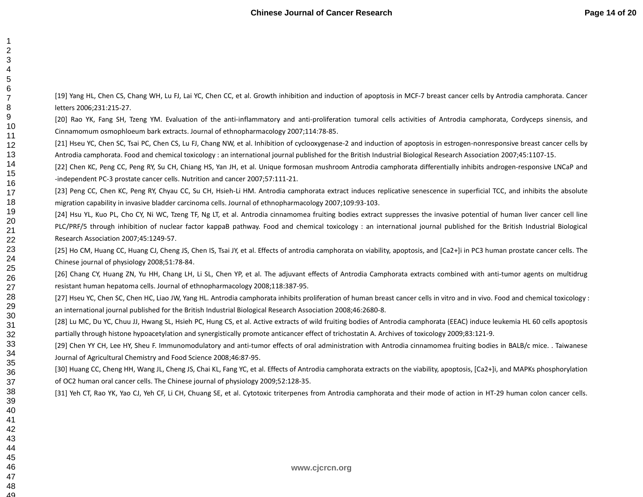> 4849

1

[19] Yang HL, Chen CS, Chang WH, Lu FJ, Lai YC, Chen CC, et al. Growth inhibition and induction of apoptosis in MCF-7 breast cancer cells by Antrodia camphorata. Cancer letters 2006;231:215-27.

[20] Rao YK, Fang SH, Tzeng YM. Evaluation of the anti-inflammatory and anti-proliferation tumoral cells activities of Antrodia camphorata, Cordyceps sinensis, and Cinnamomum osmophloeum bark extracts. Journal of ethnopharmacology 2007;114:78-85.

[21] Hseu YC, Chen SC, Tsai PC, Chen CS, Lu FJ, Chang NW, et al. Inhibition of cyclooxygenase-2 and induction of apoptosis in estrogen-nonresponsive breast cancer cells by Antrodia camphorata. Food and chemical toxicology : an international journal published for the British Industrial Biological Research Association 2007;45:1107-15.

[22] Chen KC, Peng CC, Peng RY, Su CH, Chiang HS, Yan JH, et al. Unique formosan mushroom Antrodia camphorata differentially inhibits androgen-responsive LNCaP and -independent PC-3 prostate cancer cells. Nutrition and cancer 2007;57:111-21.

[23] Peng CC, Chen KC, Peng RY, Chyau CC, Su CH, Hsieh-Li HM. Antrodia camphorata extract induces replicative senescence in superficial TCC, and inhibits the absolute migration capability in invasive bladder carcinoma cells. Journal of ethnopharmacology 2007;109:93-103.

[24] Hsu YL, Kuo PL, Cho CY, Ni WC, Tzeng TF, Ng LT, et al. Antrodia cinnamomea fruiting bodies extract suppresses the invasive potential of human liver cancer cell line PLC/PRF/5 through inhibition of nuclear factor kappaB pathway. Food and chemical toxicology : an international journal published for the British Industrial Biological Research Association 2007;45:1249-57.

[25] Ho CM, Huang CC, Huang CJ, Cheng JS, Chen IS, Tsai JY, et al. Effects of antrodia camphorata on viability, apoptosis, and [Ca2+]i in PC3 human prostate cancer cells. The Chinese journal of physiology 2008;51:78-84.

[26] Chang CY, Huang ZN, Yu HH, Chang LH, Li SL, Chen YP, et al. The adjuvant effects of Antrodia Camphorata extracts combined with anti-tumor agents on multidrug resistant human hepatoma cells. Journal of ethnopharmacology 2008;118:387-95.

[27] Hseu YC, Chen SC, Chen HC, Liao JW, Yang HL. Antrodia camphorata inhibits proliferation of human breast cancer cells in vitro and in vivo. Food and chemical toxicology : an international journal published for the British Industrial Biological Research Association 2008;46:2680-8.

[28] Lu MC, Du YC, Chuu JJ, Hwang SL, Hsieh PC, Hung CS, et al. Active extracts of wild fruiting bodies of Antrodia camphorata (EEAC) induce leukemia HL 60 cells apoptosis partially through histone hypoacetylation and synergistically promote anticancer effect of trichostatin A. Archives of toxicology 2009;83:121-9.

[29] Chen YY CH, Lee HY, Sheu F. Immunomodulatory and anti-tumor effects of oral administration with Antrodia cinnamomea fruiting bodies in BALB/c mice. . Taiwanese Journal of Agricultural Chemistry and Food Science 2008;46:87-95.

[30] Huang CC, Cheng HH, Wang JL, Cheng JS, Chai KL, Fang YC, et al. Effects of Antrodia camphorata extracts on the viability, apoptosis, [Ca2+]i, and MAPKs phosphorylation of OC2 human oral cancer cells. The Chinese journal of physiology 2009;52:128-35.

[31] Yeh CT, Rao YK, Yao CJ, Yeh CF, Li CH, Chuang SE, et al. Cytotoxic triterpenes from Antrodia camphorata and their mode of action in HT-29 human colon cancer cells.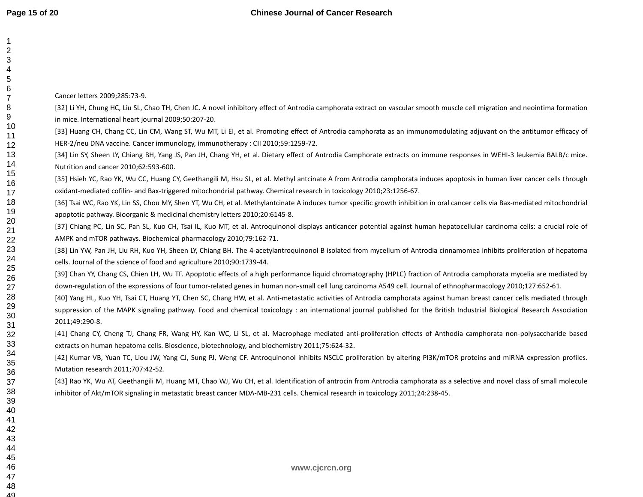| 1<br>$\overline{c}$ |                                                                                                                                                                              |
|---------------------|------------------------------------------------------------------------------------------------------------------------------------------------------------------------------|
| 3                   |                                                                                                                                                                              |
| 4                   |                                                                                                                                                                              |
| 5                   |                                                                                                                                                                              |
| 6                   | Cancer letters 2009;285:73-9.                                                                                                                                                |
| 7<br>8              |                                                                                                                                                                              |
| 9                   | [32] Li YH, Chung HC, Liu SL, Chao TH, Chen JC. A novel inhibitory effect of Antrodia camphorata extract on vascular smooth muscle cell migration and neointima formation    |
| 10                  | in mice. International heart journal 2009;50:207-20.                                                                                                                         |
| 11                  | [33] Huang CH, Chang CC, Lin CM, Wang ST, Wu MT, Li EI, et al. Promoting effect of Antrodia camphorata as an immunomodulating adjuvant on the antitumor efficacy of          |
| 12                  | HER-2/neu DNA vaccine. Cancer immunology, immunotherapy : CII 2010;59:1259-72.                                                                                               |
| 13                  | [34] Lin SY, Sheen LY, Chiang BH, Yang JS, Pan JH, Chang YH, et al. Dietary effect of Antrodia Camphorate extracts on immune responses in WEHI-3 leukemia BALB/c mice.       |
| 14<br>15            | Nutrition and cancer 2010;62:593-600.                                                                                                                                        |
| 16                  | [35] Hsieh YC, Rao YK, Wu CC, Huang CY, Geethangili M, Hsu SL, et al. Methyl antcinate A from Antrodia camphorata induces apoptosis in human liver cancer cells through      |
| 17                  | oxidant-mediated cofilin- and Bax-triggered mitochondrial pathway. Chemical research in toxicology 2010;23:1256-67.                                                          |
| 18                  | [36] Tsai WC, Rao YK, Lin SS, Chou MY, Shen YT, Wu CH, et al. Methylantcinate A induces tumor specific growth inhibition in oral cancer cells via Bax-mediated mitochondrial |
| 19<br>20            | apoptotic pathway. Bioorganic & medicinal chemistry letters 2010;20:6145-8.                                                                                                  |
| 21                  | [37] Chiang PC, Lin SC, Pan SL, Kuo CH, Tsai IL, Kuo MT, et al. Antroquinonol displays anticancer potential against human hepatocellular carcinoma cells: a crucial role of  |
| 22                  | AMPK and mTOR pathways. Biochemical pharmacology 2010;79:162-71.                                                                                                             |
| 23                  | [38] Lin YW, Pan JH, Liu RH, Kuo YH, Sheen LY, Chiang BH. The 4-acetylantroquinonol B isolated from mycelium of Antrodia cinnamomea inhibits proliferation of hepatoma       |
| 24                  | cells. Journal of the science of food and agriculture 2010;90:1739-44.                                                                                                       |
| 25<br>26            | [39] Chan YY, Chang CS, Chien LH, Wu TF. Apoptotic effects of a high performance liquid chromatography (HPLC) fraction of Antrodia camphorata mycelia are mediated by        |
| 27                  | down-regulation of the expressions of four tumor-related genes in human non-small cell lung carcinoma A549 cell. Journal of ethnopharmacology 2010;127:652-61.               |
| 28                  | [40] Yang HL, Kuo YH, Tsai CT, Huang YT, Chen SC, Chang HW, et al. Anti-metastatic activities of Antrodia camphorata against human breast cancer cells mediated through      |
| 29                  | suppression of the MAPK signaling pathway. Food and chemical toxicology : an international journal published for the British Industrial Biological Research Association      |
| 30<br>31            | 2011;49:290-8.                                                                                                                                                               |
| 32                  | [41] Chang CY, Cheng TJ, Chang FR, Wang HY, Kan WC, Li SL, et al. Macrophage mediated anti-proliferation effects of Anthodia camphorata non-polysaccharide based             |
| 33                  | extracts on human hepatoma cells. Bioscience, biotechnology, and biochemistry 2011;75:624-32.                                                                                |
| 34                  | [42] Kumar VB, Yuan TC, Liou JW, Yang CJ, Sung PJ, Weng CF. Antroquinonol inhibits NSCLC proliferation by altering PI3K/mTOR proteins and miRNA expression profiles.         |
| 35<br>36            | Mutation research 2011;707:42-52.                                                                                                                                            |
| 37                  | [43] Rao YK, Wu AT, Geethangili M, Huang MT, Chao WJ, Wu CH, et al. Identification of antrocin from Antrodia camphorata as a selective and novel class of small molecule     |
| 38                  | inhibitor of Akt/mTOR signaling in metastatic breast cancer MDA-MB-231 cells. Chemical research in toxicology 2011;24:238-45.                                                |
| 39                  |                                                                                                                                                                              |
| 40                  |                                                                                                                                                                              |
| 41<br>42            |                                                                                                                                                                              |
| 43                  |                                                                                                                                                                              |
| 44                  |                                                                                                                                                                              |
| 45                  |                                                                                                                                                                              |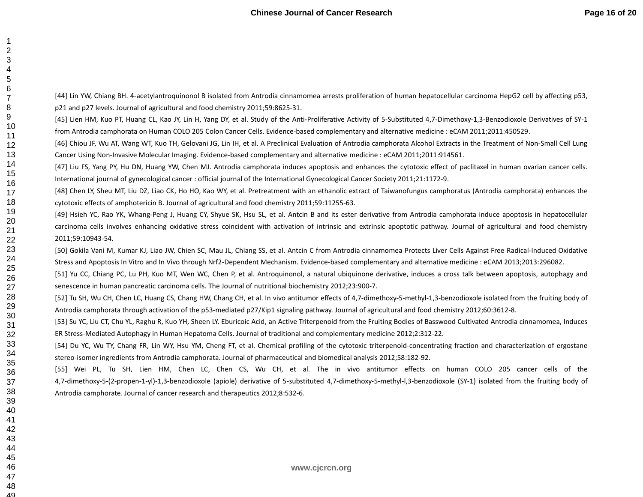49

[44] Lin YW, Chiang BH. 4-acetylantroquinonol B isolated from Antrodia cinnamomea arrests proliferation of human hepatocellular carcinoma HepG2 cell by affecting p53, p21 and p27 levels. Journal of agricultural and food chemistry 2011;59:8625-31.

[45] Lien HM, Kuo PT, Huang CL, Kao JY, Lin H, Yang DY, et al. Study of the Anti-Proliferative Activity of 5-Substituted 4,7-Dimethoxy-1,3-Benzodioxole Derivatives of SY-1 from Antrodia camphorata on Human COLO 205 Colon Cancer Cells. Evidence-based complementary and alternative medicine : eCAM 2011;2011:450529.

[46] Chiou JF, Wu AT, Wang WT, Kuo TH, Gelovani JG, Lin IH, et al. A Preclinical Evaluation of Antrodia camphorata Alcohol Extracts in the Treatment of Non-Small Cell Lung Cancer Using Non-Invasive Molecular Imaging. Evidence-based complementary and alternative medicine : eCAM 2011;2011:914561.

[47] Liu FS, Yang PY, Hu DN, Huang YW, Chen MJ. Antrodia camphorata induces apoptosis and enhances the cytotoxic effect of paclitaxel in human ovarian cancer cells. International journal of gynecological cancer : official journal of the International Gynecological Cancer Society 2011;21:1172-9.

[48] Chen LY, Sheu MT, Liu DZ, Liao CK, Ho HO, Kao WY, et al. Pretreatment with an ethanolic extract of Taiwanofungus camphoratus (Antrodia camphorata) enhances the cytotoxic effects of amphotericin B. Journal of agricultural and food chemistry 2011;59:11255-63.

[49] Hsieh YC, Rao YK, Whang-Peng J, Huang CY, Shyue SK, Hsu SL, et al. Antcin B and its ester derivative from Antrodia camphorata induce apoptosis in hepatocellular carcinoma cells involves enhancing oxidative stress coincident with activation of intrinsic and extrinsic apoptotic pathway. Journal of agricultural and food chemistry 2011;59:10943-54.

[50] Gokila Vani M, Kumar KJ, Liao JW, Chien SC, Mau JL, Chiang SS, et al. Antcin C from Antrodia cinnamomea Protects Liver Cells Against Free Radical-Induced Oxidative Stress and Apoptosis In Vitro and In Vivo through Nrf2-Dependent Mechanism. Evidence-based complementary and alternative medicine : eCAM 2013;2013:296082.

[51] Yu CC, Chiang PC, Lu PH, Kuo MT, Wen WC, Chen P, et al. Antroquinonol, a natural ubiquinone derivative, induces a cross talk between apoptosis, autophagy and senescence in human pancreatic carcinoma cells. The Journal of nutritional biochemistry 2012;23:900-7.

[52] Tu SH, Wu CH, Chen LC, Huang CS, Chang HW, Chang CH, et al. In vivo antitumor effects of 4,7-dimethoxy-5-methyl-1,3-benzodioxole isolated from the fruiting body of Antrodia camphorata through activation of the p53-mediated p27/Kip1 signaling pathway. Journal of agricultural and food chemistry 2012;60:3612-8.

[53] Su YC, Liu CT, Chu YL, Raghu R, Kuo YH, Sheen LY. Eburicoic Acid, an Active Triterpenoid from the Fruiting Bodies of Basswood Cultivated Antrodia cinnamomea, Induces ER Stress-Mediated Autophagy in Human Hepatoma Cells. Journal of traditional and complementary medicine 2012;2:312-22.

[54] Du YC, Wu TY, Chang FR, Lin WY, Hsu YM, Cheng FT, et al. Chemical profiling of the cytotoxic triterpenoid-concentrating fraction and characterization of ergostane stereo-isomer ingredients from Antrodia camphorata. Journal of pharmaceutical and biomedical analysis 2012;58:182-92.

[55] Wei PL, Tu SH, Lien HM, Chen LC, Chen CS, Wu CH, et al. The in vivo antitumor effects on human COLO 205 cancer cells of the 4,7-dimethoxy-5-(2-propen-1-yl)-1,3-benzodioxole (apiole) derivative of 5-substituted 4,7-dimethoxy-5-methyl-l,3-benzodioxole (SY-1) isolated from the fruiting body of Antrodia camphorate. Journal of cancer research and therapeutics 2012;8:532-6.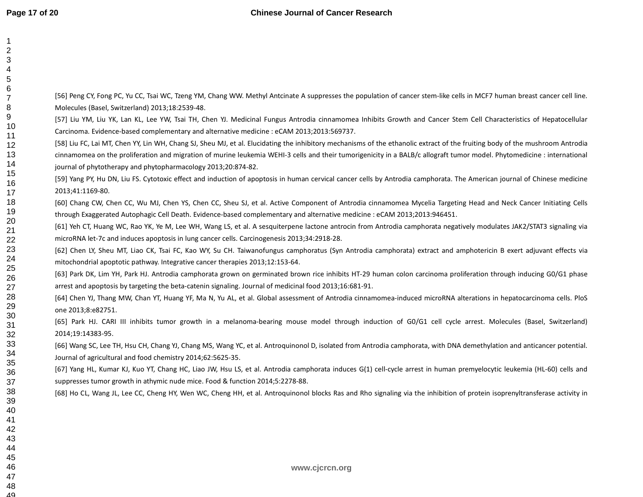[56] Peng CY, Fong PC, Yu CC, Tsai WC, Tzeng YM, Chang WW. Methyl Antcinate A suppresses the population of cancer stem-like cells in MCF7 human breast cancer cell line. Molecules (Basel, Switzerland) 2013;18:2539-48. [57] Liu YM, Liu YK, Lan KL, Lee YW, Tsai TH, Chen YJ. Medicinal Fungus Antrodia cinnamomea Inhibits Growth and Cancer Stem Cell Characteristics of Hepatocellular Carcinoma. Evidence-based complementary and alternative medicine : eCAM 2013;2013:569737. [58] Liu FC, Lai MT, Chen YY, Lin WH, Chang SJ, Sheu MJ, et al. Elucidating the inhibitory mechanisms of the ethanolic extract of the fruiting body of the mushroom Antrodia cinnamomea on the proliferation and migration of murine leukemia WEHI-3 cells and their tumorigenicity in a BALB/c allograft tumor model. Phytomedicine : international journal of phytotherapy and phytopharmacology 2013;20:874-82. [59] Yang PY, Hu DN, Liu FS. Cytotoxic effect and induction of apoptosis in human cervical cancer cells by Antrodia camphorata. The American journal of Chinese medicine 2013;41:1169-80. [60] Chang CW, Chen CC, Wu MJ, Chen YS, Chen CC, Sheu SJ, et al. Active Component of Antrodia cinnamomea Mycelia Targeting Head and Neck Cancer Initiating Cells through Exaggerated Autophagic Cell Death. Evidence-based complementary and alternative medicine : eCAM 2013;2013:946451. [61] Yeh CT, Huang WC, Rao YK, Ye M, Lee WH, Wang LS, et al. A sesquiterpene lactone antrocin from Antrodia camphorata negatively modulates JAK2/STAT3 signaling via microRNA let-7c and induces apoptosis in lung cancer cells. Carcinogenesis 2013;34:2918-28. [62] Chen LY, Sheu MT, Liao CK, Tsai FC, Kao WY, Su CH. Taiwanofungus camphoratus (Syn Antrodia camphorata) extract and amphotericin B exert adjuvant effects via mitochondrial apoptotic pathway. Integrative cancer therapies 2013;12:153-64. [63] Park DK, Lim YH, Park HJ. Antrodia camphorata grown on germinated brown rice inhibits HT-29 human colon carcinoma proliferation through inducing G0/G1 phase arrest and apoptosis by targeting the beta-catenin signaling. Journal of medicinal food 2013;16:681-91. [64] Chen YJ, Thang MW, Chan YT, Huang YF, Ma N, Yu AL, et al. Global assessment of Antrodia cinnamomea-induced microRNA alterations in hepatocarcinoma cells. PloS one 2013;8:e82751. [65] Park HJ. CARI III inhibits tumor growth in a melanoma-bearing mouse model through induction of G0/G1 cell cycle arrest. Molecules (Basel, Switzerland) 2014;19:14383-95. [66] Wang SC, Lee TH, Hsu CH, Chang YJ, Chang MS, Wang YC, et al. Antroquinonol D, isolated from Antrodia camphorata, with DNA demethylation and anticancer potential. Journal of agricultural and food chemistry 2014;62:5625-35. [67] Yang HL, Kumar KJ, Kuo YT, Chang HC, Liao JW, Hsu LS, et al. Antrodia camphorata induces G(1) cell-cycle arrest in human premyelocytic leukemia (HL-60) cells and suppresses tumor growth in athymic nude mice. Food & function 2014;5:2278-88. [68] Ho CL, Wang JL, Lee CC, Cheng HY, Wen WC, Cheng HH, et al. Antroquinonol blocks Ras and Rho signaling via the inhibition of protein isoprenyltransferase activity in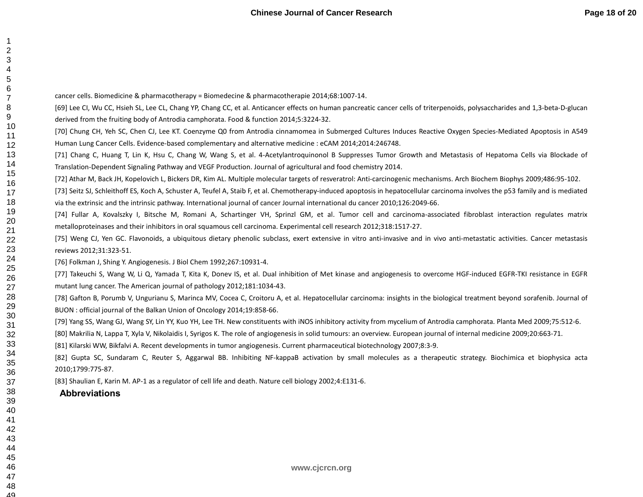cancer cells. Biomedicine & pharmacotherapy = Biomedecine & pharmacotherapie 2014;68:1007-14.

[69] Lee CI, Wu CC, Hsieh SL, Lee CL, Chang YP, Chang CC, et al. Anticancer effects on human pancreatic cancer cells of triterpenoids, polysaccharides and 1,3-beta-D-glucan derived from the fruiting body of Antrodia camphorata. Food & function 2014;5:3224-32.

[70] Chung CH, Yeh SC, Chen CJ, Lee KT. Coenzyme Q0 from Antrodia cinnamomea in Submerged Cultures Induces Reactive Oxygen Species-Mediated Apoptosis in A549 Human Lung Cancer Cells. Evidence-based complementary and alternative medicine : eCAM 2014;2014:246748.

[71] Chang C, Huang T, Lin K, Hsu C, Chang W, Wang S, et al. 4-Acetylantroquinonol B Suppresses Tumor Growth and Metastasis of Hepatoma Cells via Blockade of Translation-Dependent Signaling Pathway and VEGF Production. Journal of agricultural and food chemistry 2014.

[72] Athar M, Back JH, Kopelovich L, Bickers DR, Kim AL. Multiple molecular targets of resveratrol: Anti-carcinogenic mechanisms. Arch Biochem Biophys 2009;486:95-102.

[73] Seitz SJ, Schleithoff ES, Koch A, Schuster A, Teufel A, Staib F, et al. Chemotherapy-induced apoptosis in hepatocellular carcinoma involves the p53 family and is mediated via the extrinsic and the intrinsic pathway. International journal of cancer Journal international du cancer 2010;126:2049-66.

[74] Fullar A, Kovalszky I, Bitsche M, Romani A, Schartinger VH, Sprinzl GM, et al. Tumor cell and carcinoma-associated fibroblast interaction regulates matrix metalloproteinases and their inhibitors in oral squamous cell carcinoma. Experimental cell research 2012;318:1517-27.

[75] Weng CJ, Yen GC. Flavonoids, a ubiquitous dietary phenolic subclass, exert extensive in vitro anti-invasive and in vivo anti-metastatic activities. Cancer metastasis reviews 2012;31:323-51.

[76] Folkman J, Shing Y. Angiogenesis. J Biol Chem 1992;267:10931-4.

[77] Takeuchi S, Wang W, Li Q, Yamada T, Kita K, Donev IS, et al. Dual inhibition of Met kinase and angiogenesis to overcome HGF-induced EGFR-TKI resistance in EGFR mutant lung cancer. The American journal of pathology 2012;181:1034-43.

[78] Gafton B, Porumb V, Ungurianu S, Marinca MV, Cocea C, Croitoru A, et al. Hepatocellular carcinoma: insights in the biological treatment beyond sorafenib. Journal of BUON : official journal of the Balkan Union of Oncology 2014;19:858-66.

[79] Yang SS, Wang GJ, Wang SY, Lin YY, Kuo YH, Lee TH. New constituents with iNOS inhibitory activity from mycelium of Antrodia camphorata. Planta Med 2009;75:512-6.

[80] Makrilia N, Lappa T, Xyla V, Nikolaidis I, Syrigos K. The role of angiogenesis in solid tumours: an overview. European journal of internal medicine 2009;20:663-71.

[81] Kilarski WW, Bikfalvi A. Recent developments in tumor angiogenesis. Current pharmaceutical biotechnology 2007;8:3-9.

[82] Gupta SC, Sundaram C, Reuter S, Aggarwal BB. Inhibiting NF-kappaB activation by small molecules as a therapeutic strategy. Biochimica et biophysica acta 2010;1799:775-87.

[83] Shaulian E, Karin M. AP-1 as a regulator of cell life and death. Nature cell biology 2002;4:E131-6.

## **Abbreviations**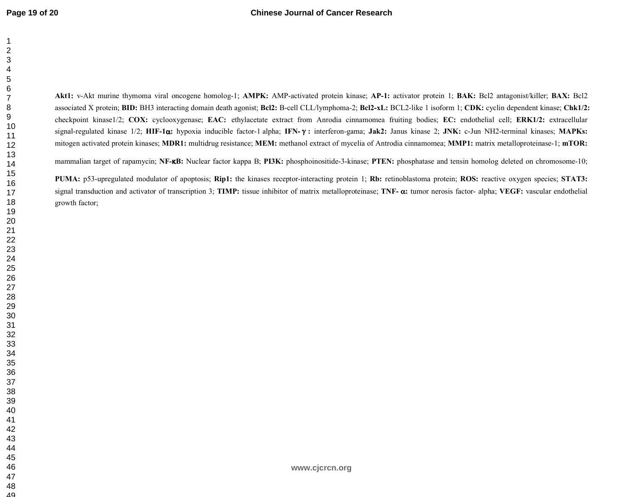**Akt1:** v-Akt murine thymoma viral oncogene homolog-1; **AMPK:** AMP-activated protein kinase; **AP-1:** activator protein 1; **BAK:** Bcl2 antagonist/killer; **BAX:** Bcl2 associated X protein; **BID:** BH3 interacting domain death agonist; **Bcl2:** B-cell CLL/lymphoma-2; **Bcl2-xL:** BCL2-like 1 isoform 1; **CDK:** cyclin dependent kinase; **Chk1/2:** checkpoint kinase1/2; **COX:** cyclooxygenase; **EAC:** ethylacetate extract from Anrodia cinnamomea fruiting bodies; **EC:** endothelial cell; **ERK1/2:** extracellular signal-regulated kinase 1/2; **HIF-1**α**:** hypoxia inducible factor-1 alpha; **IFN-**γ**:** interferon-gama; **Jak2:** Janus kinase 2; **JNK:** c-Jun NH2-terminal kinases; **MAPKs:**  mitogen activated protein kinases; **MDR1:** multidrug resistance; **MEM:** methanol extract of mycelia of Antrodia cinnamomea; **MMP1:** matrix metalloproteinase-1; **mTOR:**

mammalian target of rapamycin; **NF-**κ**B:** Nuclear factor kappa B; **PI3K:** phosphoinositide-3-kinase; **PTEN:** phosphatase and tensin homolog deleted on chromosome-10;

**PUMA:** p53-upregulated modulator of apoptosis; **Rip1:** the kinases receptor-interacting protein 1; **Rb:** retinoblastoma protein; **ROS:** reactive oxygen species; **STAT3:**signal transduction and activator of transcription 3; **TIMP:** tissue inhibitor of matrix metalloproteinase; **TNF-** α**:** tumor nerosis factor- alpha; **VEGF:** vascular endothelial growth factor;